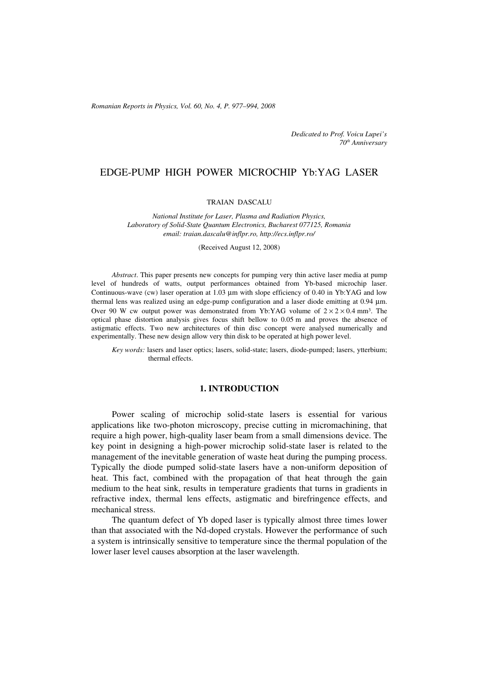*Romanian Reports in Physics, Vol. 60, No. 4, P. 977–994, 2008*

*Dedicated to Prof. Voicu Lupei's 70th Anniversary*

# EDGE-PUMP HIGH POWER MICROCHIP Yb:YAG LASER

#### TRAIAN DASCALU

*National Institute for Laser, Plasma and Radiation Physics, Laboratory of Solid-State Quantum Electronics, Bucharest 077125, Romania email: traian.dascalu@inflpr.ro, http://ecs.inflpr.ro/*

(Received August 12, 2008)

*Abstract*. This paper presents new concepts for pumping very thin active laser media at pump level of hundreds of watts, output performances obtained from Yb-based microchip laser. Continuous-wave (cw) laser operation at 1.03 μm with slope efficiency of 0.40 in Yb:YAG and low thermal lens was realized using an edge-pump configuration and a laser diode emitting at 0.94 μm. Over 90 W cw output power was demonstrated from Yb:YAG volume of  $2 \times 2 \times 0.4$  mm<sup>3</sup>. The optical phase distortion analysis gives focus shift bellow to 0.05 m and proves the absence of astigmatic effects. Two new architectures of thin disc concept were analysed numerically and experimentally. These new design allow very thin disk to be operated at high power level.

*Key words:* lasers and laser optics; lasers, solid-state; lasers, diode-pumped; lasers, ytterbium; thermal effects.

### **1. INTRODUCTION**

Power scaling of microchip solid-state lasers is essential for various applications like two-photon microscopy, precise cutting in micromachining, that require a high power, high-quality laser beam from a small dimensions device. The key point in designing a high-power microchip solid-state laser is related to the management of the inevitable generation of waste heat during the pumping process. Typically the diode pumped solid-state lasers have a non-uniform deposition of heat. This fact, combined with the propagation of that heat through the gain medium to the heat sink, results in temperature gradients that turns in gradients in refractive index, thermal lens effects, astigmatic and birefringence effects, and mechanical stress.

The quantum defect of Yb doped laser is typically almost three times lower than that associated with the Nd-doped crystals. However the performance of such a system is intrinsically sensitive to temperature since the thermal population of the lower laser level causes absorption at the laser wavelength.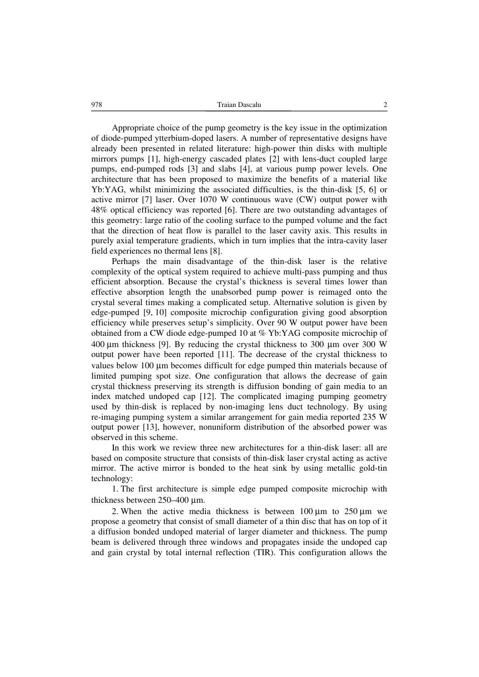978 Traian Dascalu 2

Appropriate choice of the pump geometry is the key issue in the optimization of diode-pumped ytterbium-doped lasers. A number of representative designs have already been presented in related literature: high-power thin disks with multiple mirrors pumps [1], high-energy cascaded plates [2] with lens-duct coupled large pumps, end-pumped rods [3] and slabs [4], at various pump power levels. One architecture that has been proposed to maximize the benefits of a material like Yb:YAG, whilst minimizing the associated difficulties, is the thin-disk [5, 6] or active mirror [7] laser. Over 1070 W continuous wave (CW) output power with 48% optical efficiency was reported [6]. There are two outstanding advantages of this geometry: large ratio of the cooling surface to the pumped volume and the fact that the direction of heat flow is parallel to the laser cavity axis. This results in purely axial temperature gradients, which in turn implies that the intra-cavity laser field experiences no thermal lens [8].

Perhaps the main disadvantage of the thin-disk laser is the relative complexity of the optical system required to achieve multi-pass pumping and thus efficient absorption. Because the crystal's thickness is several times lower than effective absorption length the unabsorbed pump power is reimaged onto the crystal several times making a complicated setup. Alternative solution is given by edge-pumped [9, 10] composite microchip configuration giving good absorption efficiency while preserves setup's simplicity. Over 90 W output power have been obtained from a CW diode edge-pumped 10 at % Yb:YAG composite microchip of 400 μm thickness [9]. By reducing the crystal thickness to 300 μm over 300 W output power have been reported [11]. The decrease of the crystal thickness to values below 100 μm becomes difficult for edge pumped thin materials because of limited pumping spot size. One configuration that allows the decrease of gain crystal thickness preserving its strength is diffusion bonding of gain media to an index matched undoped cap [12]. The complicated imaging pumping geometry used by thin-disk is replaced by non-imaging lens duct technology. By using re-imaging pumping system a similar arrangement for gain media reported 235 W output power [13], however, nonuniform distribution of the absorbed power was observed in this scheme.

In this work we review three new architectures for a thin-disk laser: all are based on composite structure that consists of thin-disk laser crystal acting as active mirror. The active mirror is bonded to the heat sink by using metallic gold-tin technology:

1. The first architecture is simple edge pumped composite microchip with thickness between 250–400 μm.

2. When the active media thickness is between  $100 \mu m$  to  $250 \mu m$  we propose a geometry that consist of small diameter of a thin disc that has on top of it a diffusion bonded undoped material of larger diameter and thickness. The pump beam is delivered through three windows and propagates inside the undoped cap and gain crystal by total internal reflection (TIR). This configuration allows the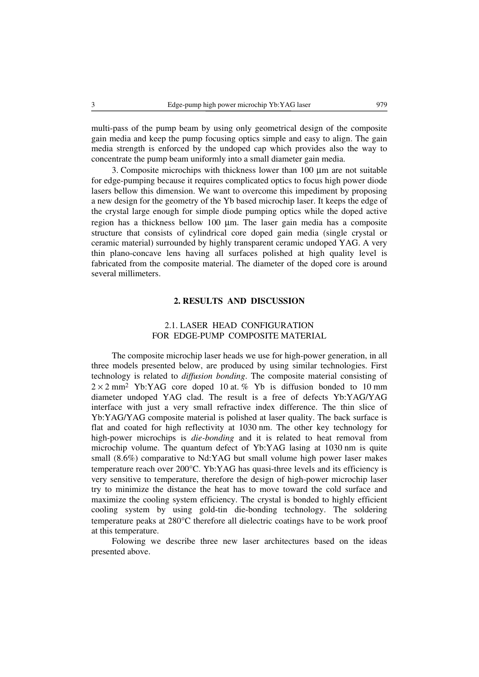multi-pass of the pump beam by using only geometrical design of the composite gain media and keep the pump focusing optics simple and easy to align. The gain media strength is enforced by the undoped cap which provides also the way to concentrate the pump beam uniformly into a small diameter gain media.

3. Composite microchips with thickness lower than 100 μm are not suitable for edge-pumping because it requires complicated optics to focus high power diode lasers bellow this dimension. We want to overcome this impediment by proposing a new design for the geometry of the Yb based microchip laser. It keeps the edge of the crystal large enough for simple diode pumping optics while the doped active region has a thickness bellow 100 μm. The laser gain media has a composite structure that consists of cylindrical core doped gain media (single crystal or ceramic material) surrounded by highly transparent ceramic undoped YAG. A very thin plano-concave lens having all surfaces polished at high quality level is fabricated from the composite material. The diameter of the doped core is around several millimeters.

# **2. RESULTS AND DISCUSSION**

# 2.1. LASER HEAD CONFIGURATION FOR EDGE-PUMP COMPOSITE MATERIAL

The composite microchip laser heads we use for high-power generation, in all three models presented below, are produced by using similar technologies. First technology is related to *diffusion bonding*. The composite material consisting of  $2 \times 2$  mm<sup>2</sup> Yb:YAG core doped 10 at. % Yb is diffusion bonded to 10 mm diameter undoped YAG clad. The result is a free of defects Yb:YAG/YAG interface with just a very small refractive index difference. The thin slice of Yb:YAG/YAG composite material is polished at laser quality. The back surface is flat and coated for high reflectivity at 1030 nm. The other key technology for high-power microchips is *die-bonding* and it is related to heat removal from microchip volume. The quantum defect of Yb:YAG lasing at 1030 nm is quite small (8.6%) comparative to Nd:YAG but small volume high power laser makes temperature reach over 200°C. Yb:YAG has quasi-three levels and its efficiency is very sensitive to temperature, therefore the design of high-power microchip laser try to minimize the distance the heat has to move toward the cold surface and maximize the cooling system efficiency. The crystal is bonded to highly efficient cooling system by using gold-tin die-bonding technology. The soldering temperature peaks at 280°C therefore all dielectric coatings have to be work proof at this temperature.

Folowing we describe three new laser architectures based on the ideas presented above.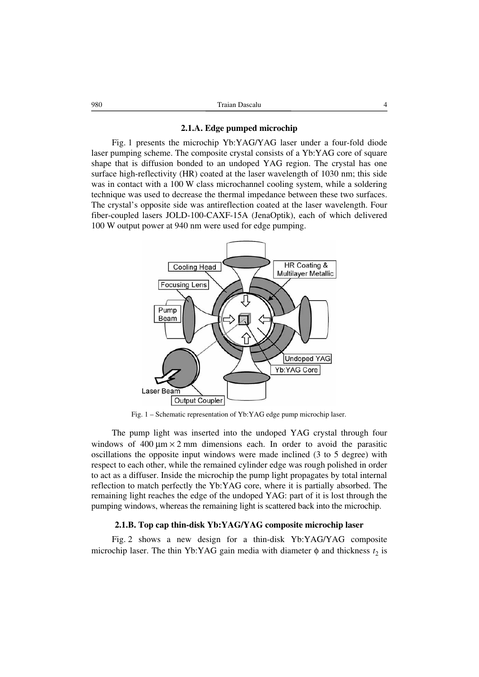### **2.1.A. Edge pumped microchip**

Fig. 1 presents the microchip Yb:YAG/YAG laser under a four-fold diode laser pumping scheme. The composite crystal consists of a Yb:YAG core of square shape that is diffusion bonded to an undoped YAG region. The crystal has one surface high-reflectivity (HR) coated at the laser wavelength of 1030 nm; this side was in contact with a 100 W class microchannel cooling system, while a soldering technique was used to decrease the thermal impedance between these two surfaces. The crystal's opposite side was antireflection coated at the laser wavelength. Four fiber-coupled lasers JOLD-100-CAXF-15A (JenaOptik), each of which delivered 100 W output power at 940 nm were used for edge pumping.



Fig. 1 – Schematic representation of Yb:YAG edge pump microchip laser.

The pump light was inserted into the undoped YAG crystal through four windows of  $400 \mu m \times 2$  mm dimensions each. In order to avoid the parasitic oscillations the opposite input windows were made inclined (3 to 5 degree) with respect to each other, while the remained cylinder edge was rough polished in order to act as a diffuser. Inside the microchip the pump light propagates by total internal reflection to match perfectly the Yb:YAG core, where it is partially absorbed. The remaining light reaches the edge of the undoped YAG: part of it is lost through the pumping windows, whereas the remaining light is scattered back into the microchip.

### **2.1.B. Top cap thin-disk Yb:YAG/YAG composite microchip laser**

Fig. 2 shows a new design for a thin-disk Yb:YAG/YAG composite microchip laser. The thin Yb:YAG gain media with diameter  $\phi$  and thickness  $t_2$  is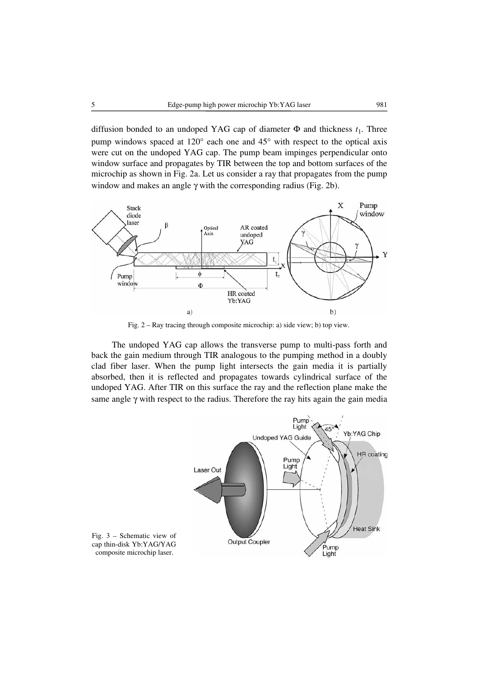diffusion bonded to an undoped YAG cap of diameter  $\Phi$  and thickness  $t_1$ . Three pump windows spaced at 120° each one and 45° with respect to the optical axis were cut on the undoped YAG cap. The pump beam impinges perpendicular onto window surface and propagates by TIR between the top and bottom surfaces of the microchip as shown in Fig. 2a. Let us consider a ray that propagates from the pump window and makes an angle  $\gamma$  with the corresponding radius (Fig. 2b).



Fig. 2 – Ray tracing through composite microchip: a) side view; b) top view.

The undoped YAG cap allows the transverse pump to multi-pass forth and back the gain medium through TIR analogous to the pumping method in a doubly clad fiber laser. When the pump light intersects the gain media it is partially absorbed, then it is reflected and propagates towards cylindrical surface of the undoped YAG. After TIR on this surface the ray and the reflection plane make the same angle  $\gamma$  with respect to the radius. Therefore the ray hits again the gain media



cap thin-disk Yb:YAG/YAG composite microchip laser.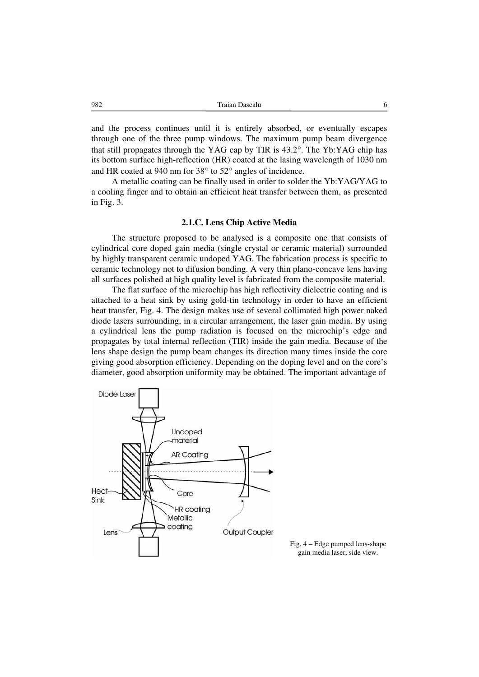982 Traian Dascalu 6

and the process continues until it is entirely absorbed, or eventually escapes through one of the three pump windows. The maximum pump beam divergence that still propagates through the YAG cap by TIR is 43.2°. The Yb:YAG chip has its bottom surface high-reflection (HR) coated at the lasing wavelength of 1030 nm and HR coated at 940 nm for 38° to 52° angles of incidence.

A metallic coating can be finally used in order to solder the Yb:YAG/YAG to a cooling finger and to obtain an efficient heat transfer between them, as presented in Fig. 3.

### **2.1.C. Lens Chip Active Media**

The structure proposed to be analysed is a composite one that consists of cylindrical core doped gain media (single crystal or ceramic material) surrounded by highly transparent ceramic undoped YAG. The fabrication process is specific to ceramic technology not to difusion bonding. A very thin plano-concave lens having all surfaces polished at high quality level is fabricated from the composite material.

The flat surface of the microchip has high reflectivity dielectric coating and is attached to a heat sink by using gold-tin technology in order to have an efficient heat transfer, Fig. 4. The design makes use of several collimated high power naked diode lasers surrounding, in a circular arrangement, the laser gain media. By using a cylindrical lens the pump radiation is focused on the microchip's edge and propagates by total internal reflection (TIR) inside the gain media. Because of the lens shape design the pump beam changes its direction many times inside the core giving good absorption efficiency. Depending on the doping level and on the core's diameter, good absorption uniformity may be obtained. The important advantage of



Fig. 4 – Edge pumped lens-shape gain media laser, side view.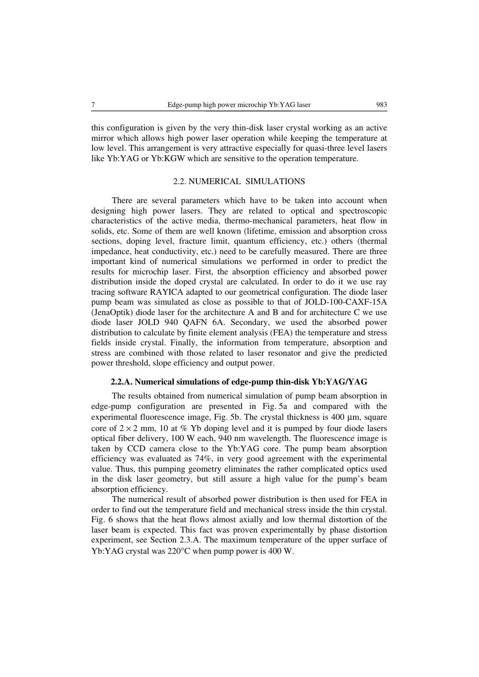this configuration is given by the very thin-disk laser crystal working as an active mirror which allows high power laser operation while keeping the temperature at low level. This arrangement is very attractive especially for quasi-three level lasers like Yb:YAG or Yb:KGW which are sensitive to the operation temperature.

# 2.2. NUMERICAL SIMULATIONS

There are several parameters which have to be taken into account when designing high power lasers. They are related to optical and spectroscopic characteristics of the active media, thermo-mechanical parameters, heat flow in solids, etc. Some of them are well known (lifetime, emission and absorption cross sections, doping level, fracture limit, quantum efficiency, etc.) others (thermal impedance, heat conductivity, etc.) need to be carefully measured. There are three important kind of numerical simulations we performed in order to predict the results for microchip laser. First, the absorption efficiency and absorbed power distribution inside the doped crystal are calculated. In order to do it we use ray tracing software RAYICA adapted to our geometrical configuration. The diode laser pump beam was simulated as close as possible to that of JOLD-100-CAXF-15A (JenaOptik) diode laser for the architecture A and B and for architecture C we use diode laser JOLD 940 QAFN 6A. Secondary, we used the absorbed power distribution to calculate by finite element analysis (FEA) the temperature and stress fields inside crystal. Finally, the information from temperature, absorption and stress are combined with those related to laser resonator and give the predicted power threshold, slope efficiency and output power.

# **2.2.A. Numerical simulations of edge-pump thin-disk Yb:YAG/YAG**

The results obtained from numerical simulation of pump beam absorption in edge-pump configuration are presented in Fig. 5a and compared with the experimental fluorescence image, Fig. 5b. The crystal thickness is 400 μm, square core of  $2 \times 2$  mm, 10 at % Yb doping level and it is pumped by four diode lasers optical fiber delivery, 100 W each, 940 nm wavelength. The fluorescence image is taken by CCD camera close to the Yb:YAG core. The pump beam absorption efficiency was evaluated as 74%, in very good agreement with the experimental value. Thus, this pumping geometry eliminates the rather complicated optics used in the disk laser geometry, but still assure a high value for the pump's beam absorption efficiency.

The numerical result of absorbed power distribution is then used for FEA in order to find out the temperature field and mechanical stress inside the thin crystal. Fig. 6 shows that the heat flows almost axially and low thermal distortion of the laser beam is expected. This fact was proven experimentally by phase distortion experiment, see Section 2.3.A. The maximum temperature of the upper surface of Yb:YAG crystal was 220°C when pump power is 400 W.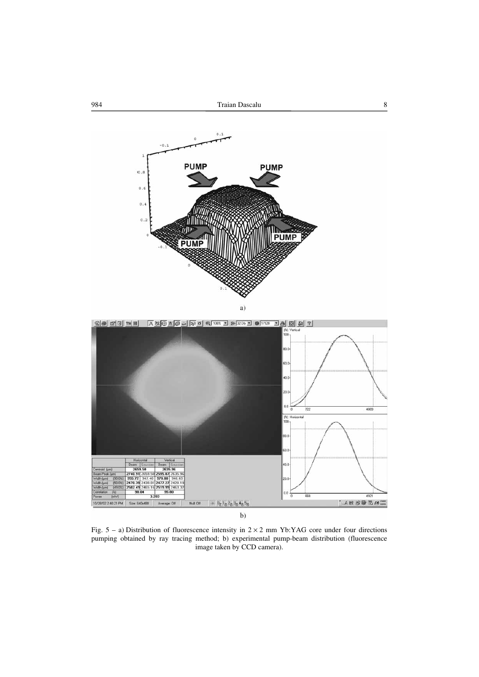



Fig.  $5 - a$ ) Distribution of fluorescence intensity in  $2 \times 2$  mm Yb:YAG core under four directions pumping obtained by ray tracing method; b) experimental pump-beam distribution (fluorescence image taken by CCD camera).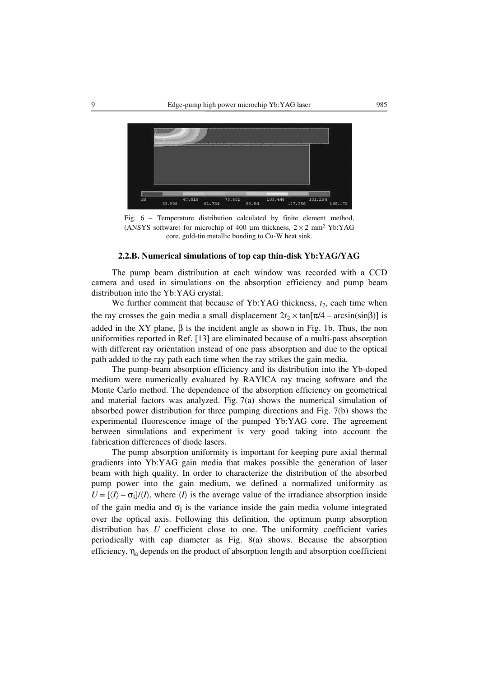

Fig. 6 – Temperature distribution calculated by finite element method, (ANSYS software) for microchip of 400 um thickness,  $2 \times 2$  mm<sup>2</sup> Yb:YAG core, gold-tin metallic bonding to Cu-W heat sink.

#### **2.2.B. Numerical simulations of top cap thin-disk Yb:YAG/YAG**

The pump beam distribution at each window was recorded with a CCD camera and used in simulations on the absorption efficiency and pump beam distribution into the Yb:YAG crystal.

We further comment that because of Yb:YAG thickness,  $t_2$ , each time when the ray crosses the gain media a small displacement  $2t_2 \times \tan[\pi/4 - \arcsin(\sin\beta)]$  is added in the XY plane,  $\beta$  is the incident angle as shown in Fig. 1b. Thus, the non uniformities reported in Ref. [13] are eliminated because of a multi-pass absorption with different ray orientation instead of one pass absorption and due to the optical path added to the ray path each time when the ray strikes the gain media.

The pump-beam absorption efficiency and its distribution into the Yb-doped medium were numerically evaluated by RAYICA ray tracing software and the Monte Carlo method. The dependence of the absorption efficiency on geometrical and material factors was analyzed. Fig. 7(a) shows the numerical simulation of absorbed power distribution for three pumping directions and Fig. 7(b) shows the experimental fluorescence image of the pumped Yb:YAG core. The agreement between simulations and experiment is very good taking into account the fabrication differences of diode lasers.

The pump absorption uniformity is important for keeping pure axial thermal gradients into Yb:YAG gain media that makes possible the generation of laser beam with high quality. In order to characterize the distribution of the absorbed pump power into the gain medium, we defined a normalized uniformity as  $U = [\langle I \rangle - \sigma_I] / \langle I \rangle$ , where  $\langle I \rangle$  is the average value of the irradiance absorption inside of the gain media and  $\sigma_{\rm I}$  is the variance inside the gain media volume integrated over the optical axis. Following this definition, the optimum pump absorption distribution has *U* coefficient close to one. The uniformity coefficient varies periodically with cap diameter as Fig. 8(a) shows. Because the absorption efficiency,  $\eta_a$  depends on the product of absorption length and absorption coefficient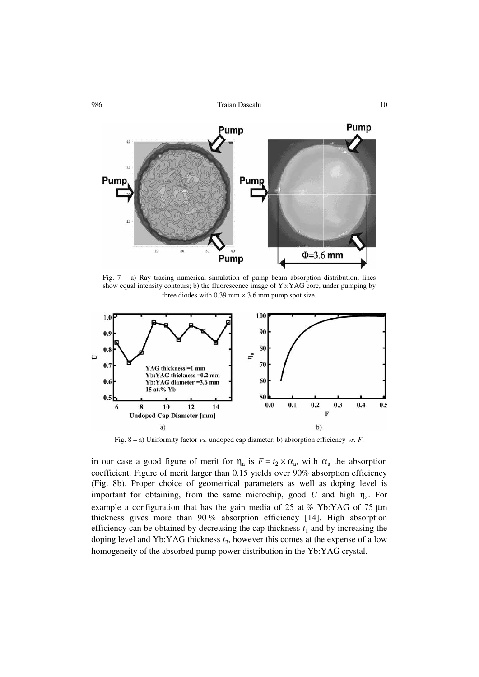

Fig.  $7 - a$ ) Ray tracing numerical simulation of pump beam absorption distribution, lines show equal intensity contours; b) the fluorescence image of Yb:YAG core, under pumping by three diodes with 0.39 mm  $\times$  3.6 mm pump spot size.



Fig. 8 – a) Uniformity factor *vs.* undoped cap diameter; b) absorption efficiency *vs. F*.

in our case a good figure of merit for  $\eta_a$  is  $F = t_2 \times \alpha_a$ , with  $\alpha_a$  the absorption coefficient. Figure of merit larger than 0.15 yields over 90% absorption efficiency (Fig. 8b). Proper choice of geometrical parameters as well as doping level is important for obtaining, from the same microchip, good *U* and high  $\eta_a$ . For example a configuration that has the gain media of 25 at % Yb:YAG of 75 μm thickness gives more than 90 % absorption efficiency [14]. High absorption efficiency can be obtained by decreasing the cap thickness  $t_1$  and by increasing the doping level and Yb:YAG thickness  $t_2$ , however this comes at the expense of a low homogeneity of the absorbed pump power distribution in the Yb:YAG crystal.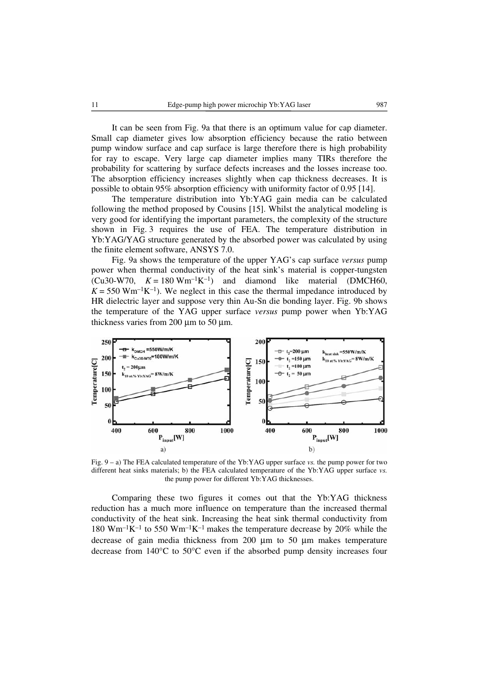It can be seen from Fig. 9a that there is an optimum value for cap diameter. Small cap diameter gives low absorption efficiency because the ratio between pump window surface and cap surface is large therefore there is high probability for ray to escape. Very large cap diameter implies many TIRs therefore the probability for scattering by surface defects increases and the losses increase too. The absorption efficiency increases slightly when cap thickness decreases. It is possible to obtain 95% absorption efficiency with uniformity factor of 0.95 [14].

The temperature distribution into Yb:YAG gain media can be calculated following the method proposed by Cousins [15]. Whilst the analytical modeling is very good for identifying the important parameters, the complexity of the structure shown in Fig. 3 requires the use of FEA. The temperature distribution in Yb:YAG/YAG structure generated by the absorbed power was calculated by using the finite element software, ANSYS 7.0.

Fig. 9a shows the temperature of the upper YAG's cap surface *versus* pump power when thermal conductivity of the heat sink's material is copper-tungsten  $(Cu30-W70, K = 180 Wm^{-1}K^{-1})$  and diamond like material (DMCH60,  $K = 550$  Wm<sup>-1</sup>K<sup>-1</sup>). We neglect in this case the thermal impedance introduced by HR dielectric layer and suppose very thin Au-Sn die bonding layer. Fig. 9b shows the temperature of the YAG upper surface *versus* pump power when Yb:YAG thickness varies from 200 μm to 50 μm.



Fig. 9 – a) The FEA calculated temperature of the Yb:YAG upper surface *vs.* the pump power for two different heat sinks materials; b) the FEA calculated temperature of the Yb:YAG upper surface *vs.* the pump power for different Yb:YAG thicknesses.

Comparing these two figures it comes out that the Yb:YAG thickness reduction has a much more influence on temperature than the increased thermal conductivity of the heat sink. Increasing the heat sink thermal conductivity from 180 Wm<sup>-1</sup>K<sup>-1</sup> to 550 Wm<sup>-1</sup>K<sup>-1</sup> makes the temperature decrease by 20% while the decrease of gain media thickness from 200 μm to 50 μm makes temperature decrease from 140°C to 50°C even if the absorbed pump density increases four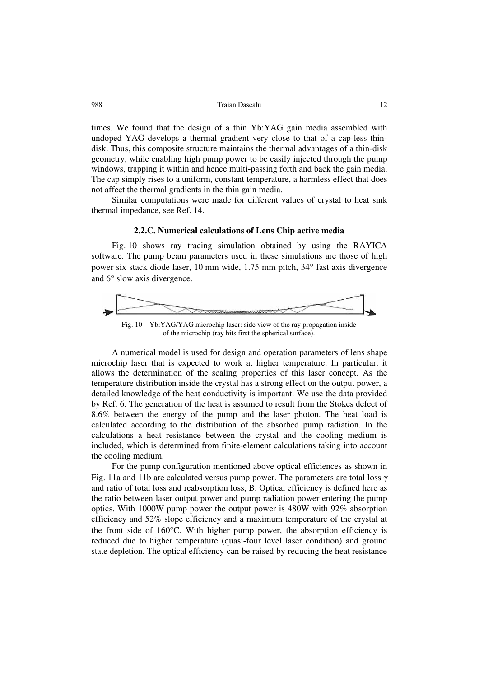988 Traian Dascalu 12

times. We found that the design of a thin Yb:YAG gain media assembled with undoped YAG develops a thermal gradient very close to that of a cap-less thindisk. Thus, this composite structure maintains the thermal advantages of a thin-disk geometry, while enabling high pump power to be easily injected through the pump windows, trapping it within and hence multi-passing forth and back the gain media. The cap simply rises to a uniform, constant temperature, a harmless effect that does not affect the thermal gradients in the thin gain media.

Similar computations were made for different values of crystal to heat sink thermal impedance, see Ref. 14.

# **2.2.C. Numerical calculations of Lens Chip active media**

Fig. 10 shows ray tracing simulation obtained by using the RAYICA software. The pump beam parameters used in these simulations are those of high power six stack diode laser, 10 mm wide, 1.75 mm pitch, 34° fast axis divergence and 6° slow axis divergence.



Fig. 10 – Yb:YAG/YAG microchip laser: side view of the ray propagation inside of the microchip (ray hits first the spherical surface).

A numerical model is used for design and operation parameters of lens shape microchip laser that is expected to work at higher temperature. In particular, it allows the determination of the scaling properties of this laser concept. As the temperature distribution inside the crystal has a strong effect on the output power, a detailed knowledge of the heat conductivity is important. We use the data provided by Ref. 6. The generation of the heat is assumed to result from the Stokes defect of 8.6% between the energy of the pump and the laser photon. The heat load is calculated according to the distribution of the absorbed pump radiation. In the calculations a heat resistance between the crystal and the cooling medium is included, which is determined from finite-element calculations taking into account the cooling medium.

For the pump configuration mentioned above optical efficiences as shown in Fig. 11a and 11b are calculated versus pump power. The parameters are total loss  $\gamma$ and ratio of total loss and reabsorption loss, B. Optical efficiency is defined here as the ratio between laser output power and pump radiation power entering the pump optics. With 1000W pump power the output power is 480W with 92% absorption efficiency and 52% slope efficiency and a maximum temperature of the crystal at the front side of  $160^{\circ}$ C. With higher pump power, the absorption efficiency is reduced due to higher temperature (quasi-four level laser condition) and ground state depletion. The optical efficiency can be raised by reducing the heat resistance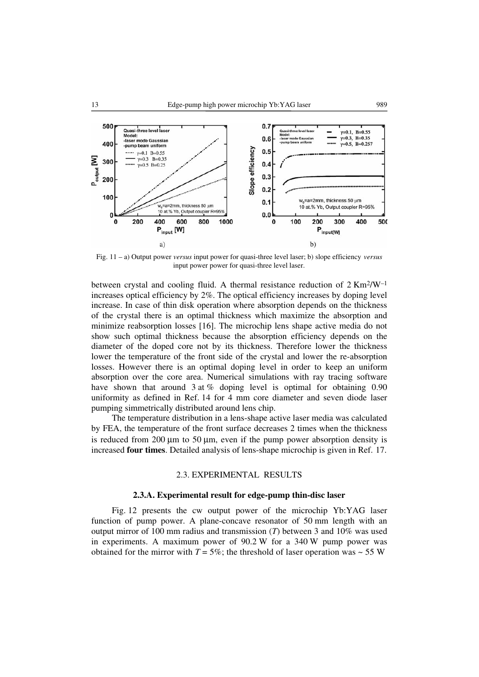

Fig. 11 – a) Output power *versus* input power for quasi-three level laser; b) slope efficiency *versus* input power power for quasi-three level laser.

between crystal and cooling fluid. A thermal resistance reduction of  $2 \text{ Km}^2/\text{W}^{-1}$ increases optical efficiency by 2%. The optical efficiency increases by doping level increase. In case of thin disk operation where absorption depends on the thickness of the crystal there is an optimal thickness which maximize the absorption and minimize reabsorption losses [16]. The microchip lens shape active media do not show such optimal thickness because the absorption efficiency depends on the diameter of the doped core not by its thickness. Therefore lower the thickness lower the temperature of the front side of the crystal and lower the re-absorption losses. However there is an optimal doping level in order to keep an uniform absorption over the core area. Numerical simulations with ray tracing software have shown that around 3 at % doping level is optimal for obtaining 0.90 uniformity as defined in Ref. 14 for 4 mm core diameter and seven diode laser pumping simmetrically distributed around lens chip.

The temperature distribution in a lens-shape active laser media was calculated by FEA, the temperature of the front surface decreases 2 times when the thickness is reduced from 200 μm to 50 μm, even if the pump power absorption density is increased **four times**. Detailed analysis of lens-shape microchip is given in Ref. 17.

### 2.3. EXPERIMENTAL RESULTS

### **2.3.A. Experimental result for edge-pump thin-disc laser**

Fig. 12 presents the cw output power of the microchip Yb:YAG laser function of pump power. A plane-concave resonator of 50 mm length with an output mirror of 100 mm radius and transmission (*T*) between 3 and 10% was used in experiments. A maximum power of 90.2 W for a 340 W pump power was obtained for the mirror with  $T = 5\%$ ; the threshold of laser operation was  $\sim 55$  W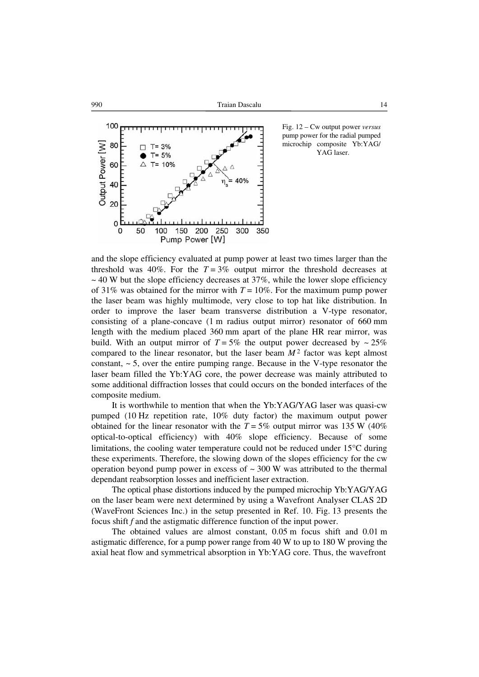



Fig. 12 – Cw output power *versus* pump power for the radial pumped microchip composite Yb:YAG/ YAG laser.

and the slope efficiency evaluated at pump power at least two times larger than the threshold was 40%. For the  $T = 3\%$  output mirror the threshold decreases at  $\sim$  40 W but the slope efficiency decreases at 37%, while the lower slope efficiency of 31% was obtained for the mirror with  $T = 10\%$ . For the maximum pump power the laser beam was highly multimode, very close to top hat like distribution. In order to improve the laser beam transverse distribution a V-type resonator, consisting of a plane-concave (1 m radius output mirror) resonator of 660 mm length with the medium placed 360 mm apart of the plane HR rear mirror, was build. With an output mirror of  $T = 5\%$  the output power decreased by  $\sim 25\%$ compared to the linear resonator, but the laser beam  $M<sup>2</sup>$  factor was kept almost constant,  $\sim$  5, over the entire pumping range. Because in the V-type resonator the laser beam filled the Yb:YAG core, the power decrease was mainly attributed to some additional diffraction losses that could occurs on the bonded interfaces of the composite medium.

It is worthwhile to mention that when the Yb:YAG/YAG laser was quasi-cw pumped (10 Hz repetition rate, 10% duty factor) the maximum output power obtained for the linear resonator with the  $T = 5\%$  output mirror was 135 W (40%) optical-to-optical efficiency) with 40% slope efficiency. Because of some limitations, the cooling water temperature could not be reduced under 15°C during these experiments. Therefore, the slowing down of the slopes efficiency for the cw operation beyond pump power in excess of  $\sim$  300 W was attributed to the thermal dependant reabsorption losses and inefficient laser extraction.

The optical phase distortions induced by the pumped microchip Yb:YAG/YAG on the laser beam were next determined by using a Wavefront Analyser CLAS 2D (WaveFront Sciences Inc.) in the setup presented in Ref. 10. Fig. 13 presents the focus shift *f* and the astigmatic difference function of the input power.

The obtained values are almost constant, 0.05 m focus shift and 0.01 m astigmatic difference, for a pump power range from 40 W to up to 180 W proving the axial heat flow and symmetrical absorption in Yb:YAG core. Thus, the wavefront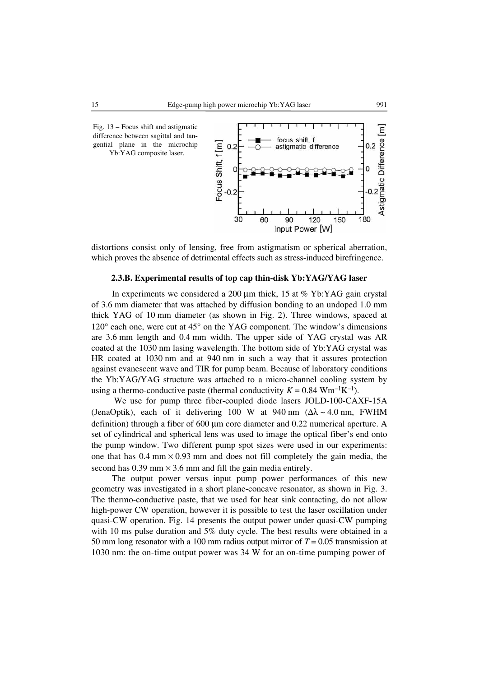

distortions consist only of lensing, free from astigmatism or spherical aberration, which proves the absence of detrimental effects such as stress-induced birefringence.

# **2.3.B. Experimental results of top cap thin-disk Yb:YAG/YAG laser**

In experiments we considered a 200 μm thick, 15 at % Yb:YAG gain crystal of 3.6 mm diameter that was attached by diffusion bonding to an undoped 1.0 mm thick YAG of 10 mm diameter (as shown in Fig. 2). Three windows, spaced at 120° each one, were cut at 45° on the YAG component. The window's dimensions are 3.6 mm length and 0.4 mm width. The upper side of YAG crystal was AR coated at the 1030 nm lasing wavelength. The bottom side of Yb:YAG crystal was HR coated at 1030 nm and at 940 nm in such a way that it assures protection against evanescent wave and TIR for pump beam. Because of laboratory conditions the Yb:YAG/YAG structure was attached to a micro-channel cooling system by using a thermo-conductive paste (thermal conductivity  $K = 0.84$  Wm<sup>-1</sup>K<sup>-1</sup>).

 We use for pump three fiber-coupled diode lasers JOLD-100-CAXF-15A (JenaOptik), each of it delivering 100 W at 940 nm  $(\Delta \lambda \sim 4.0 \text{ nm}, \text{FWHM})$ definition) through a fiber of 600 μm core diameter and 0.22 numerical aperture. A set of cylindrical and spherical lens was used to image the optical fiber's end onto the pump window. Two different pump spot sizes were used in our experiments: one that has  $0.4 \text{ mm} \times 0.93 \text{ mm}$  and does not fill completely the gain media, the second has  $0.39$  mm  $\times$  3.6 mm and fill the gain media entirely.

The output power versus input pump power performances of this new geometry was investigated in a short plane-concave resonator, as shown in Fig. 3. The thermo-conductive paste, that we used for heat sink contacting, do not allow high-power CW operation, however it is possible to test the laser oscillation under quasi-CW operation. Fig. 14 presents the output power under quasi-CW pumping with 10 ms pulse duration and 5% duty cycle. The best results were obtained in a 50 mm long resonator with a 100 mm radius output mirror of *T* = 0.05 transmission at 1030 nm: the on-time output power was 34 W for an on-time pumping power of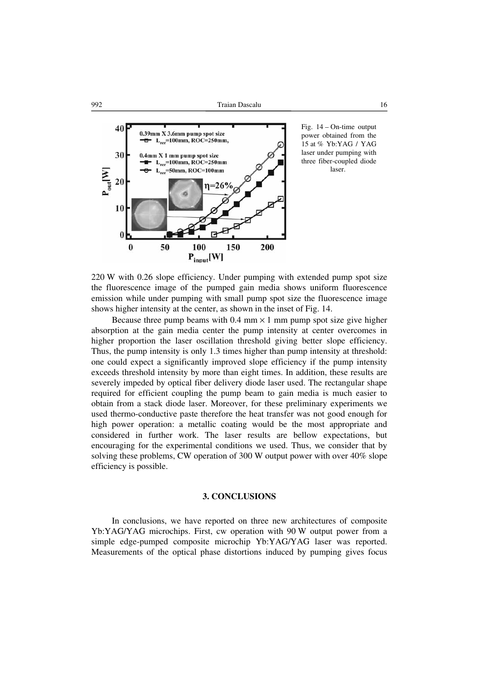

Fig. 14 – On-time output power obtained from the 15 at % Yb:YAG / YAG laser under pumping with three fiber-coupled diode laser.

220 W with 0.26 slope efficiency. Under pumping with extended pump spot size the fluorescence image of the pumped gain media shows uniform fluorescence emission while under pumping with small pump spot size the fluorescence image shows higher intensity at the center, as shown in the inset of Fig. 14.

Because three pump beams with  $0.4 \text{ mm} \times 1 \text{ mm}$  pump spot size give higher absorption at the gain media center the pump intensity at center overcomes in higher proportion the laser oscillation threshold giving better slope efficiency. Thus, the pump intensity is only 1.3 times higher than pump intensity at threshold: one could expect a significantly improved slope efficiency if the pump intensity exceeds threshold intensity by more than eight times. In addition, these results are severely impeded by optical fiber delivery diode laser used. The rectangular shape required for efficient coupling the pump beam to gain media is much easier to obtain from a stack diode laser. Moreover, for these preliminary experiments we used thermo-conductive paste therefore the heat transfer was not good enough for high power operation: a metallic coating would be the most appropriate and considered in further work. The laser results are bellow expectations, but encouraging for the experimental conditions we used. Thus, we consider that by solving these problems, CW operation of 300 W output power with over 40% slope efficiency is possible.

### **3. CONCLUSIONS**

In conclusions, we have reported on three new architectures of composite Yb:YAG/YAG microchips. First, cw operation with 90 W output power from a simple edge-pumped composite microchip Yb:YAG/YAG laser was reported. Measurements of the optical phase distortions induced by pumping gives focus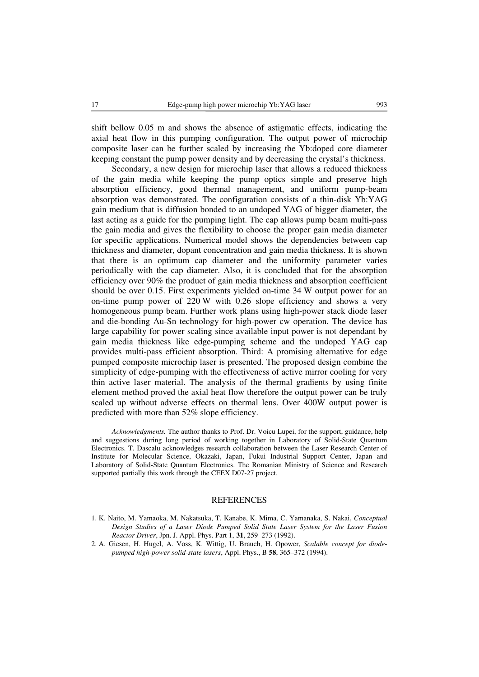shift bellow 0.05 m and shows the absence of astigmatic effects, indicating the axial heat flow in this pumping configuration. The output power of microchip composite laser can be further scaled by increasing the Yb:doped core diameter keeping constant the pump power density and by decreasing the crystal's thickness.

Secondary, a new design for microchip laser that allows a reduced thickness of the gain media while keeping the pump optics simple and preserve high absorption efficiency, good thermal management, and uniform pump-beam absorption was demonstrated. The configuration consists of a thin-disk Yb:YAG gain medium that is diffusion bonded to an undoped YAG of bigger diameter, the last acting as a guide for the pumping light. The cap allows pump beam multi-pass the gain media and gives the flexibility to choose the proper gain media diameter for specific applications. Numerical model shows the dependencies between cap thickness and diameter, dopant concentration and gain media thickness. It is shown that there is an optimum cap diameter and the uniformity parameter varies periodically with the cap diameter. Also, it is concluded that for the absorption efficiency over 90% the product of gain media thickness and absorption coefficient should be over 0.15. First experiments yielded on-time 34 W output power for an on-time pump power of 220 W with 0.26 slope efficiency and shows a very homogeneous pump beam. Further work plans using high-power stack diode laser and die-bonding Au-Sn technology for high-power cw operation. The device has large capability for power scaling since available input power is not dependant by gain media thickness like edge-pumping scheme and the undoped YAG cap provides multi-pass efficient absorption. Third: A promising alternative for edge pumped composite microchip laser is presented. The proposed design combine the simplicity of edge-pumping with the effectiveness of active mirror cooling for very thin active laser material. The analysis of the thermal gradients by using finite element method proved the axial heat flow therefore the output power can be truly scaled up without adverse effects on thermal lens. Over 400W output power is predicted with more than 52% slope efficiency.

*Acknowledgments.* The author thanks to Prof. Dr. Voicu Lupei, for the support, guidance, help and suggestions during long period of working together in Laboratory of Solid-State Quantum Electronics. T. Dascalu acknowledges research collaboration between the Laser Research Center of Institute for Molecular Science, Okazaki, Japan, Fukui Industrial Support Center, Japan and Laboratory of Solid-State Quantum Electronics. The Romanian Ministry of Science and Research supported partially this work through the CEEX D07-27 project.

### **REFERENCES**

- 1. K. Naito, M. Yamaoka, M. Nakatsuka, T. Kanabe, K. Mima, C. Yamanaka, S. Nakai, *Conceptual Design Studies of a Laser Diode Pumped Solid State Laser System for the Laser Fusion Reactor Driver*, Jpn. J. Appl. Phys. Part 1, **31**, 259–273 (1992).
- 2. A. Giesen, H. Hugel, A. Voss, K. Wittig, U. Brauch, H. Opower, *Scalable concept for diodepumped high-power solid-state lasers*, Appl. Phys., B **58**, 365–372 (1994).